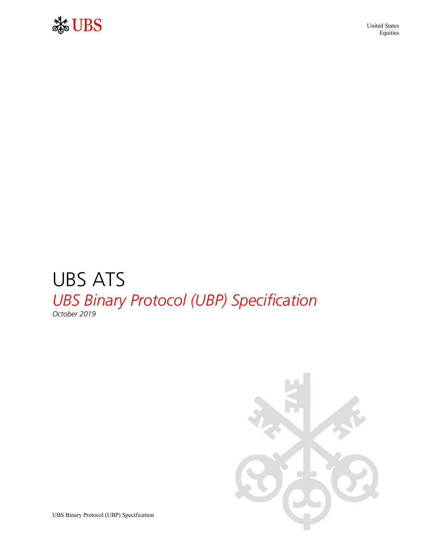

 United States Equities

### UBS ATS *UBS Binary Protocol (UBP) Specification October 2019*



UBS Binary Protocol (UBP) Specification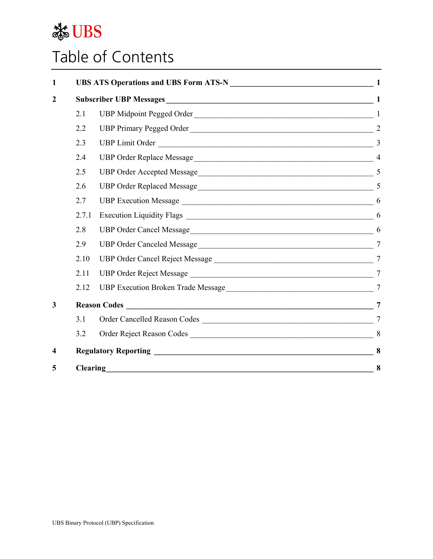

## Table of Contents

| $\mathbf{1}$            |          | UBS ATS Operations and UBS Form ATS-N<br>1 |                |  |  |  |  |  |  |
|-------------------------|----------|--------------------------------------------|----------------|--|--|--|--|--|--|
| $\overline{2}$          |          |                                            |                |  |  |  |  |  |  |
|                         | 2.1      | UBP Midpoint Pegged Order                  |                |  |  |  |  |  |  |
|                         | 2.2      | UBP Primary Pegged Order                   |                |  |  |  |  |  |  |
|                         | 2.3      |                                            |                |  |  |  |  |  |  |
|                         | 2.4      |                                            |                |  |  |  |  |  |  |
|                         | 2.5      |                                            |                |  |  |  |  |  |  |
|                         | 2.6      |                                            | $\overline{5}$ |  |  |  |  |  |  |
|                         | 2.7      |                                            |                |  |  |  |  |  |  |
|                         | 2.7.1    |                                            |                |  |  |  |  |  |  |
|                         | 2.8      |                                            |                |  |  |  |  |  |  |
|                         | 2.9      |                                            |                |  |  |  |  |  |  |
|                         | 2.10     |                                            | $\overline{7}$ |  |  |  |  |  |  |
|                         | 2.11     |                                            |                |  |  |  |  |  |  |
|                         | 2.12     |                                            |                |  |  |  |  |  |  |
| $\mathbf{3}$            |          |                                            |                |  |  |  |  |  |  |
|                         | 3.1      |                                            |                |  |  |  |  |  |  |
|                         | 3.2      |                                            |                |  |  |  |  |  |  |
| $\overline{\mathbf{4}}$ |          |                                            | 8              |  |  |  |  |  |  |
| 5                       | Clearing |                                            |                |  |  |  |  |  |  |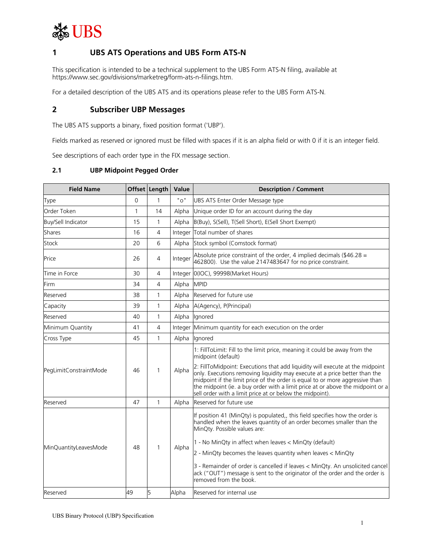

#### **1 UBS ATS Operations and UBS Form ATS-N**

This specification is intended to be a technical supplement to the UBS Form ATS-N filing, available at https://www.sec.gov/divisions/marketreg/form-ats-n-filings.htm.

For a detailed description of the UBS ATS and its operations please refer to the UBS Form ATS-N.

#### **2 Subscriber UBP Messages**

The UBS ATS supports a binary, fixed position format ('UBP').

Fields marked as reserved or ignored must be filled with spaces if it is an alpha field or with 0 if it is an integer field.

See descriptions of each order type in the FIX message section.

#### **2.1 UBP Midpoint Pegged Order**

| <b>Field Name</b>      |              | Offset Length  | Value   | <b>Description / Comment</b>                                                                                                                                                                                                                                                                                                                                                              |
|------------------------|--------------|----------------|---------|-------------------------------------------------------------------------------------------------------------------------------------------------------------------------------------------------------------------------------------------------------------------------------------------------------------------------------------------------------------------------------------------|
| Type                   | 0            | 1              | "O"     | UBS ATS Enter Order Message type                                                                                                                                                                                                                                                                                                                                                          |
| Order Token            | $\mathbf{1}$ | 14             | Alpha   | Unique order ID for an account during the day                                                                                                                                                                                                                                                                                                                                             |
| Buy/Sell Indicator     | 15           | 1              | Alpha   | B(Buy), S(Sell), T(Sell Short), E(Sell Short Exempt)                                                                                                                                                                                                                                                                                                                                      |
| Shares                 | 16           | 4              | Integer | Total number of shares                                                                                                                                                                                                                                                                                                                                                                    |
| Stock                  | 20           | 6              | Alpha   | Stock symbol (Comstock format)                                                                                                                                                                                                                                                                                                                                                            |
| Price                  | 26           | 4              | Integer | Absolute price constraint of the order, 4 implied decimals (\$46.28 =<br>462800). Use the value 2147483647 for no price constraint.                                                                                                                                                                                                                                                       |
| Time in Force          | 30           | $\overline{4}$ |         | Integer 0(IOC), 99998(Market Hours)                                                                                                                                                                                                                                                                                                                                                       |
| Firm                   | 34           | $\overline{4}$ | Alpha   | <b>MPID</b>                                                                                                                                                                                                                                                                                                                                                                               |
| Reserved               | 38           | $\mathbf{1}$   | Alpha   | Reserved for future use                                                                                                                                                                                                                                                                                                                                                                   |
| Capacity               | 39           | 1              | Alpha   | A(Agency), P(Principal)                                                                                                                                                                                                                                                                                                                                                                   |
| Reserved               | 40           | 1              | Alpha   | Ignored                                                                                                                                                                                                                                                                                                                                                                                   |
| Minimum Quantity       | 41           | $\overline{4}$ | Integer | Minimum quantity for each execution on the order                                                                                                                                                                                                                                                                                                                                          |
| Cross Type             | 45           | 1              | Alpha   | lanored                                                                                                                                                                                                                                                                                                                                                                                   |
|                        |              |                |         | 1: FillToLimit: Fill to the limit price, meaning it could be away from the<br>midpoint (default)                                                                                                                                                                                                                                                                                          |
| PegLimitConstraintMode | 46           | $\mathbf{1}$   | Alpha   | 2: FillToMidpoint: Executions that add liquidity will execute at the midpoint<br>only. Executions removing liquidity may execute at a price better than the<br>midpoint if the limit price of the order is equal to or more aggressive than<br>the midpoint (ie. a buy order with a limit price at or above the midpoint or a<br>sell order with a limit price at or below the midpoint). |
| Reserved               | 47           | 1              | Alpha   | Reserved for future use                                                                                                                                                                                                                                                                                                                                                                   |
|                        |              |                |         | If position 41 (MinQty) is populated,, this field specifies how the order is<br>handled when the leaves quantity of an order becomes smaller than the<br>MinQty. Possible values are:                                                                                                                                                                                                     |
| MinQuantityLeavesMode  | 48           | 1              | Alpha   | 1 - No MinQty in affect when leaves < MinQty (default)                                                                                                                                                                                                                                                                                                                                    |
|                        |              |                |         | 2 - MinQty becomes the leaves quantity when leaves < MinQty                                                                                                                                                                                                                                                                                                                               |
|                        |              |                |         | 3 - Remainder of order is cancelled if leaves < MinQty. An unsolicited cancel<br>ack ("OUT") message is sent to the originator of the order and the order is<br>removed from the book.                                                                                                                                                                                                    |
| Reserved               | 49           | 5              | Alpha   | Reserved for internal use                                                                                                                                                                                                                                                                                                                                                                 |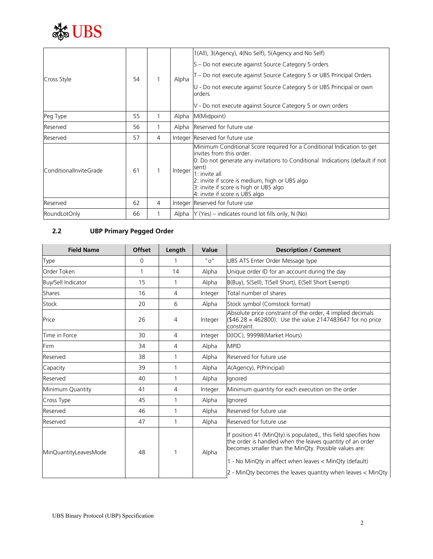

| Cross Style            | 54 |   | Alpha   | 1(All), 3(Agency), 4(No Self), 5(Agency and No Self)<br>S – Do not execute against Source Category 5 orders<br>T – Do not execute against Source Category 5 or UBS Principal Orders<br>U - Do not execute against Source Category 5 or UBS Principal or own<br>orders<br>V - Do not execute against Source Category 5 or own orders           |
|------------------------|----|---|---------|-----------------------------------------------------------------------------------------------------------------------------------------------------------------------------------------------------------------------------------------------------------------------------------------------------------------------------------------------|
| Peg Type               | 55 |   | Alpha   | M(Midpoint)                                                                                                                                                                                                                                                                                                                                   |
| Reserved               | 56 |   | Alpha   | Reserved for future use                                                                                                                                                                                                                                                                                                                       |
| Reserved               | 57 | 4 |         | Integer Reserved for future use                                                                                                                                                                                                                                                                                                               |
| ConditionalInviteGrade | 61 |   | Integer | Minimum Conditional Score required for a Conditional Indication to get<br>invites from this order.<br>O: Do not generate any invitations to Conditional Indications (default if not<br>sent)<br>$1:$ invite all<br>2: invite if score is medium, high or UBS algo<br>3: invite if score is high or UBS algo<br>4: invite if score is UBS algo |
| Reserved               | 62 | 4 |         | Integer Reserved for future use                                                                                                                                                                                                                                                                                                               |
| RoundLotOnly           | 66 |   |         | Alpha $Y$ (Yes) – indicates round lot fills only, N (No)                                                                                                                                                                                                                                                                                      |

#### **2.2 UBP Primary Pegged Order**

| <b>Field Name</b>     | Offset | Length | Value   | <b>Description / Comment</b>                                                                                                                                                         |
|-----------------------|--------|--------|---------|--------------------------------------------------------------------------------------------------------------------------------------------------------------------------------------|
| Type                  | 0      |        | " റ"    | UBS ATS Enter Order Message type                                                                                                                                                     |
| Order Token           | 1      | 14     | Alpha   | Unique order ID for an account during the day                                                                                                                                        |
| Buy/Sell Indicator    | 15     | 1      | Alpha   | B(Buy), S(Sell), T(Sell Short), E(Sell Short Exempt)                                                                                                                                 |
| <b>Shares</b>         | 16     | 4      | Integer | Total number of shares                                                                                                                                                               |
| Stock                 | 20     | 6      | Alpha   | Stock symbol (Comstock format)                                                                                                                                                       |
| Price                 | 26     | 4      | Integer | Absolute price constraint of the order, 4 implied decimals<br>(\$46.28 = 462800). Use the value 2147483647 for no price<br>constraint.                                               |
| Time in Force         | 30     | 4      | Integer | 0(IOC), 99998(Market Hours)                                                                                                                                                          |
| Firm                  | 34     | 4      | Alpha   | <b>MPID</b>                                                                                                                                                                          |
| Reserved              | 38     | 1      | Alpha   | Reserved for future use                                                                                                                                                              |
| Capacity              | 39     | 1      | Alpha   | A(Agency), P(Principal)                                                                                                                                                              |
| Reserved              | 40     | 1      | Alpha   | Ignored                                                                                                                                                                              |
| Minimum Quantity      | 41     | 4      | Integer | Minimum quantity for each execution on the order                                                                                                                                     |
| Cross Type            | 45     | 1      | Alpha   | Ignored                                                                                                                                                                              |
| Reserved              | 46     | 1      | Alpha   | Reserved for future use                                                                                                                                                              |
| Reserved              | 47     | 1      | Alpha   | Reserved for future use                                                                                                                                                              |
| MinQuantityLeavesMode | 48     |        | Alpha   | If position 41 (MinQty) is populated, this field specifies how<br>the order is handled when the leaves quantity of an order<br>becomes smaller than the MinQty. Possible values are: |
|                       |        |        |         | 1 - No MinQty in affect when leaves < MinQty (default)<br>2 - MinQty becomes the leaves quantity when leaves < MinQty                                                                |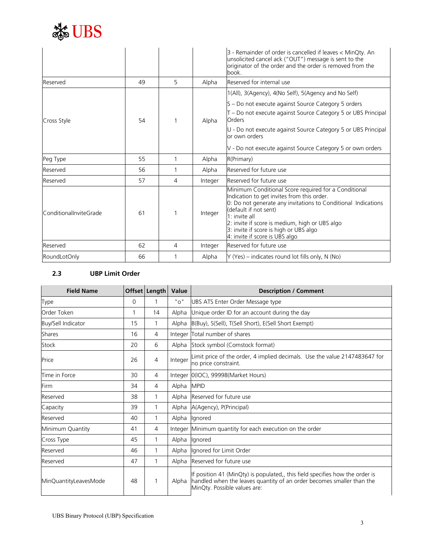

|                        |    |   |         | 3 - Remainder of order is cancelled if leaves < MinQty. An<br>unsolicited cancel ack ("OUT") message is sent to the<br>originator of the order and the order is removed from the<br>book.                                                                                                                                                     |
|------------------------|----|---|---------|-----------------------------------------------------------------------------------------------------------------------------------------------------------------------------------------------------------------------------------------------------------------------------------------------------------------------------------------------|
| Reserved               | 49 | 5 | Alpha   | Reserved for internal use                                                                                                                                                                                                                                                                                                                     |
|                        |    |   |         | 1(All), 3(Agency), 4(No Self), 5(Agency and No Self)                                                                                                                                                                                                                                                                                          |
|                        |    |   |         | S - Do not execute against Source Category 5 orders                                                                                                                                                                                                                                                                                           |
| Cross Style            | 54 |   | Alpha   | T - Do not execute against Source Category 5 or UBS Principal<br>Orders                                                                                                                                                                                                                                                                       |
|                        |    |   |         | U - Do not execute against Source Category 5 or UBS Principal<br>or own orders                                                                                                                                                                                                                                                                |
|                        |    |   |         | V - Do not execute against Source Category 5 or own orders                                                                                                                                                                                                                                                                                    |
| Peg Type               | 55 | 1 | Alpha   | R(Primary)                                                                                                                                                                                                                                                                                                                                    |
| Reserved               | 56 | 1 | Alpha   | Reserved for future use                                                                                                                                                                                                                                                                                                                       |
| Reserved               | 57 | 4 | Integer | Reserved for future use                                                                                                                                                                                                                                                                                                                       |
| ConditionalInviteGrade | 61 | 1 | Integer | Minimum Conditional Score required for a Conditional<br>Indication to get invites from this order.<br>0: Do not generate any invitations to Conditional Indications<br>(default if not sent)<br>$1:$ invite all<br>2: invite if score is medium, high or UBS algo<br>3: invite if score is high or UBS algo<br>4: invite if score is UBS algo |
| Reserved               | 62 | 4 | Integer | Reserved for future use                                                                                                                                                                                                                                                                                                                       |
| RoundLotOnly           | 66 | 1 | Alpha   | $Y$ (Yes) – indicates round lot fills only, N (No)                                                                                                                                                                                                                                                                                            |

#### **2.3 UBP Limit Order**

| <b>Field Name</b>     |    | Offset   Length   Value |            | <b>Description / Comment</b>                                                                                                                                                                |
|-----------------------|----|-------------------------|------------|---------------------------------------------------------------------------------------------------------------------------------------------------------------------------------------------|
| Type                  | 0  |                         | "O"        | UBS ATS Enter Order Message type                                                                                                                                                            |
| Order Token           |    | 14                      | Alpha      | Unique order ID for an account during the day                                                                                                                                               |
| Buy/Sell Indicator    | 15 | 1                       |            | Alpha B(Buy), S(Sell), T(Sell Short), E(Sell Short Exempt)                                                                                                                                  |
| Shares                | 16 | 4                       |            | Integer Total number of shares                                                                                                                                                              |
| Stock                 | 20 | 6                       |            | Alpha Stock symbol (Comstock format)                                                                                                                                                        |
| Price                 | 26 | $\overline{4}$          | Integer    | Limit price of the order, 4 implied decimals. Use the value 2147483647 for<br>no price constraint.                                                                                          |
| Time in Force         | 30 | 4                       |            | Integer   0(IOC), 99998(Market Hours)                                                                                                                                                       |
| Firm                  | 34 | 4                       | Alpha MPID |                                                                                                                                                                                             |
| Reserved              | 38 | 1                       |            | Alpha Reserved for future use                                                                                                                                                               |
| Capacity              | 39 | 1                       |            | Alpha A(Agency), P(Principal)                                                                                                                                                               |
| Reserved              | 40 | 1                       |            | Alpha Ignored                                                                                                                                                                               |
| Minimum Quantity      | 41 | 4                       |            | Integer Minimum quantity for each execution on the order                                                                                                                                    |
| Cross Type            | 45 | 1                       |            | Alpha lgnored                                                                                                                                                                               |
| Reserved              | 46 | 1                       |            | Alpha lgnored for Limit Order                                                                                                                                                               |
| Reserved              | 47 | 1                       |            | Alpha Reserved for future use                                                                                                                                                               |
| MinQuantityLeavesMode | 48 | 1                       |            | If position 41 (MinQty) is populated,, this field specifies how the order is<br>Alpha handled when the leaves quantity of an order becomes smaller than the<br>MinQty. Possible values are: |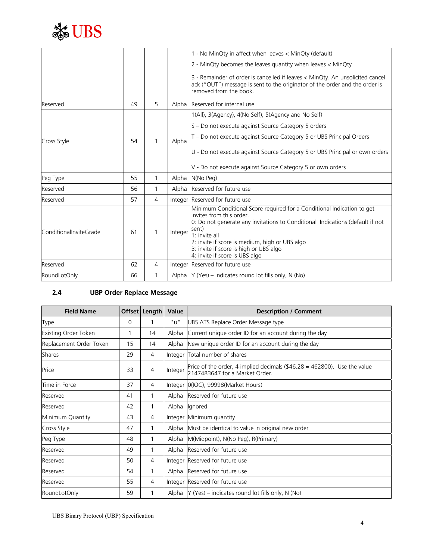

|                        |    |                |         | 1 - No MinQty in affect when leaves < MinQty (default)                                                                                                                                                                                                                                                                                     |
|------------------------|----|----------------|---------|--------------------------------------------------------------------------------------------------------------------------------------------------------------------------------------------------------------------------------------------------------------------------------------------------------------------------------------------|
|                        |    |                |         | 2 - MinQty becomes the leaves quantity when leaves < MinQty                                                                                                                                                                                                                                                                                |
|                        |    |                |         | 3 - Remainder of order is cancelled if leaves < MinQty. An unsolicited cancel<br>ack ("OUT") message is sent to the originator of the order and the order is<br>removed from the book.                                                                                                                                                     |
| Reserved               | 49 | 5              | Alpha   | Reserved for internal use                                                                                                                                                                                                                                                                                                                  |
|                        |    |                |         | 1(All), 3(Agency), 4(No Self), 5(Agency and No Self)                                                                                                                                                                                                                                                                                       |
|                        |    |                |         | S - Do not execute against Source Category 5 orders                                                                                                                                                                                                                                                                                        |
| Cross Style            | 54 | 1              | Alpha   | T – Do not execute against Source Category 5 or UBS Principal Orders                                                                                                                                                                                                                                                                       |
|                        |    |                |         | U - Do not execute against Source Category 5 or UBS Principal or own orders                                                                                                                                                                                                                                                                |
|                        |    |                |         | V - Do not execute against Source Category 5 or own orders                                                                                                                                                                                                                                                                                 |
| Peg Type               | 55 | 1              | Alpha   | N(No Peg)                                                                                                                                                                                                                                                                                                                                  |
| Reserved               | 56 | 1              |         | Alpha Reserved for future use                                                                                                                                                                                                                                                                                                              |
| Reserved               | 57 | 4              |         | Integer Reserved for future use                                                                                                                                                                                                                                                                                                            |
| ConditionalInviteGrade | 61 | 1              | Integer | Minimum Conditional Score required for a Conditional Indication to get<br>invites from this order<br>0: Do not generate any invitations to Conditional Indications (default if not<br>sent)<br>1: invite all<br>2: invite if score is medium, high or UBS algo<br>3: invite if score is high or UBS algo<br>4: invite if score is UBS algo |
| Reserved               | 62 | $\overline{4}$ |         | Integer Reserved for future use                                                                                                                                                                                                                                                                                                            |
| RoundLotOnly           | 66 | 1              |         | Alpha $\forall$ (Yes) – indicates round lot fills only, N (No)                                                                                                                                                                                                                                                                             |

### **2.4 UBP Order Replace Message**

| <b>Field Name</b>       |    | Offset Length  | Value   | <b>Description / Comment</b>                                                                               |
|-------------------------|----|----------------|---------|------------------------------------------------------------------------------------------------------------|
| Type                    | 0  |                | "u"     | UBS ATS Replace Order Message type                                                                         |
| Existing Order Token    |    | 14             | Alpha   | Current unique order ID for an account during the day                                                      |
| Replacement Order Token | 15 | 14             | Alpha   | New unique order ID for an account during the day                                                          |
| Shares                  | 29 | $\overline{4}$ | Integer | Total number of shares                                                                                     |
| Price                   | 33 | 4              | Integer | Price of the order, 4 implied decimals (\$46.28 = 462800). Use the value<br>2147483647 for a Market Order. |
| Time in Force           | 37 | 4              |         | Integer   0(IOC), 99998(Market Hours)                                                                      |
| Reserved                | 41 |                | Alpha   | Reserved for future use                                                                                    |
| Reserved                | 42 |                | Alpha   | Ignored                                                                                                    |
| Minimum Quantity        | 43 | 4              |         | Integer Minimum quantity                                                                                   |
| Cross Style             | 47 |                | Alpha   | Must be identical to value in original new order                                                           |
| Peg Type                | 48 |                | Alpha   | M(Midpoint), N(No Peg), R(Primary)                                                                         |
| Reserved                | 49 |                | Alpha   | Reserved for future use                                                                                    |
| Reserved                | 50 | $\overline{4}$ |         | Integer Reserved for future use                                                                            |
| Reserved                | 54 | 1              | Alpha   | Reserved for future use                                                                                    |
| Reserved                | 55 | 4              |         | Integer Reserved for future use                                                                            |
| RoundLotOnly            | 59 |                |         | Alpha $\forall$ (Yes) – indicates round lot fills only, N (No)                                             |

UBS Binary Protocol (UBP) Specification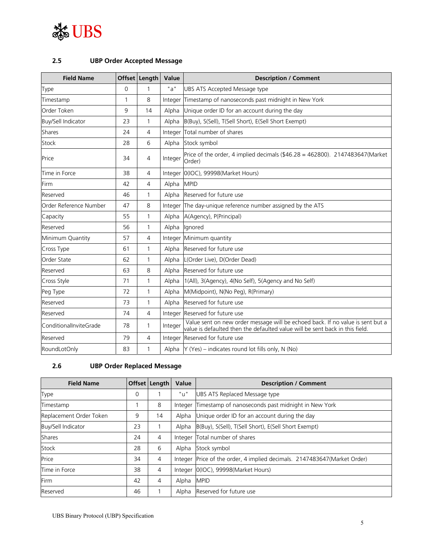

#### **2.5 UBP Order Accepted Message**

| <b>Field Name</b>      |          | Offset   Length   Value |         | <b>Description / Comment</b>                                                                                                                                   |
|------------------------|----------|-------------------------|---------|----------------------------------------------------------------------------------------------------------------------------------------------------------------|
| Type                   | $\Omega$ | 1                       | "a"     | UBS ATS Accepted Message type                                                                                                                                  |
| Timestamp              | 1        | 8                       | Integer | Timestamp of nanoseconds past midnight in New York                                                                                                             |
| Order Token            | 9        | 14                      | Alpha   | Unique order ID for an account during the day                                                                                                                  |
| Buy/Sell Indicator     | 23       | 1                       | Alpha   | B(Buy), S(Sell), T(Sell Short), E(Sell Short Exempt)                                                                                                           |
| Shares                 | 24       | 4                       | Integer | Total number of shares                                                                                                                                         |
| Stock                  | 28       | 6                       | Alpha   | Stock symbol                                                                                                                                                   |
| Price                  | 34       | 4                       | Integer | Price of the order, 4 implied decimals (\$46.28 = 462800). 2147483647(Market<br>Order)                                                                         |
| Time in Force          | 38       | $\overline{4}$          | Integer | 0(IOC), 99998(Market Hours)                                                                                                                                    |
| Firm                   | 42       | $\overline{4}$          | Alpha   | <b>MPID</b>                                                                                                                                                    |
| Reserved               | 46       | 1                       | Alpha   | Reserved for future use                                                                                                                                        |
| Order Reference Number | 47       | 8                       | Integer | The day-unique reference number assigned by the ATS                                                                                                            |
| Capacity               | 55       | 1                       | Alpha   | A(Agency), P(Principal)                                                                                                                                        |
| Reserved               | 56       | 1                       | Alpha   | lgnored                                                                                                                                                        |
| Minimum Quantity       | 57       | 4                       | Integer | Minimum quantity                                                                                                                                               |
| Cross Type             | 61       | 1                       | Alpha   | Reserved for future use                                                                                                                                        |
| Order State            | 62       | 1                       | Alpha   | L(Order Live), D(Order Dead)                                                                                                                                   |
| Reserved               | 63       | 8                       | Alpha   | Reserved for future use                                                                                                                                        |
| Cross Style            | 71       | 1                       | Alpha   | 1(All), 3(Agency), 4(No Self), 5(Agency and No Self)                                                                                                           |
| Peg Type               | 72       | 1                       | Alpha   | M(Midpoint), N(No Peg), R(Primary)                                                                                                                             |
| Reserved               | 73       | 1                       | Alpha   | Reserved for future use                                                                                                                                        |
| Reserved               | 74       | 4                       | Integer | Reserved for future use                                                                                                                                        |
| ConditionalInviteGrade | 78       | 1                       | Integer | Value sent on new order message will be echoed back. If no value is sent but a<br>value is defaulted then the defaulted value will be sent back in this field. |
| Reserved               | 79       | $\overline{4}$          | Integer | Reserved for future use                                                                                                                                        |
| RoundLotOnly           | 83       | 1                       |         | Alpha $Y$ (Yes) – indicates round lot fills only, N (No)                                                                                                       |

#### **2.6 UBP Order Replaced Message**

| <b>Field Name</b>       |    | Offset Length | Value   | <b>Description / Comment</b>                                              |
|-------------------------|----|---------------|---------|---------------------------------------------------------------------------|
| Type                    | 0  |               | "u"     | UBS ATS Replaced Message type                                             |
| Timestamp               |    | 8             | Integer | Timestamp of nanoseconds past midnight in New York                        |
| Replacement Order Token | 9  | 14            | Alpha   | Unique order ID for an account during the day                             |
| Buy/Sell Indicator      | 23 |               | Alpha   | B(Buy), S(Sell), T(Sell Short), E(Sell Short Exempt)                      |
| <b>Shares</b>           | 24 | 4             | Integer | Total number of shares                                                    |
| Stock                   | 28 | 6             | Alpha   | Stock symbol                                                              |
| Price                   | 34 | 4             |         | Integer Price of the order, 4 implied decimals. 2147483647 (Market Order) |
| Time in Force           | 38 | 4             | Integer | 0(IOC), 99998(Market Hours)                                               |
| Firm                    | 42 | 4             | Alpha   | <b>MPID</b>                                                               |
| Reserved                | 46 |               | Alpha   | Reserved for future use                                                   |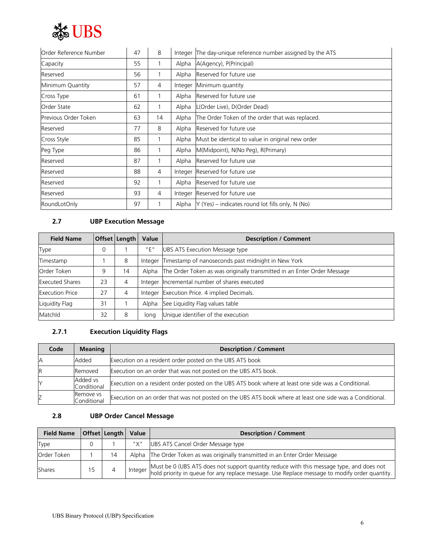

| Order Reference Number | 47 | 8  |         | Integer The day-unique reference number assigned by the ATS |
|------------------------|----|----|---------|-------------------------------------------------------------|
| Capacity               | 55 |    | Alpha   | A(Agency), P(Principal)                                     |
| Reserved               | 56 |    | Alpha   | Reserved for future use                                     |
| Minimum Quantity       | 57 | 4  | Integer | Minimum quantity                                            |
| Cross Type             | 61 |    | Alpha   | Reserved for future use                                     |
| Order State            | 62 |    | Alpha   | L(Order Live), D(Order Dead)                                |
| Previous Order Token   | 63 | 14 | Alpha   | The Order Token of the order that was replaced.             |
| Reserved               | 77 | 8  | Alpha   | Reserved for future use                                     |
| Cross Style            | 85 |    | Alpha   | Must be identical to value in original new order            |
| Peg Type               | 86 |    | Alpha   | M(Midpoint), N(No Peg), R(Primary)                          |
| Reserved               | 87 |    | Alpha   | Reserved for future use                                     |
| Reserved               | 88 | 4  |         | Integer Reserved for future use                             |
| Reserved               | 92 |    | Alpha   | Reserved for future use                                     |
| Reserved               | 93 | 4  | Integer | Reserved for future use                                     |
| RoundLotOnly           | 97 |    | Alpha   | $Y$ (Yes) – indicates round lot fills only, N (No)          |

#### **2.7 UBP Execution Message**

| <b>Field Name</b>      |          | Offset Length | Value   | <b>Description / Comment</b>                                            |
|------------------------|----------|---------------|---------|-------------------------------------------------------------------------|
| Type                   | $\Omega$ |               | "E"     | UBS ATS Execution Message type                                          |
| Timestamp              |          | 8             | Integer | Timestamp of nanoseconds past midnight in New York                      |
| Order Token            | 9        | 14            | Alpha   | The Order Token as was originally transmitted in an Enter Order Message |
| <b>Executed Shares</b> | 23       | 4             |         | Integer Incremental number of shares executed                           |
| <b>Execution Price</b> | 27       | 4             |         | Integer Execution Price. 4 implied Decimals.                            |
| Liquidity Flag         | 31       |               | Alpha   | See Liquidity Flag values table                                         |
| Matchld                | 32       | 8             | lona    | Unique identifier of the execution                                      |

### **2.7.1 Execution Liquidity Flags**

| Code | <b>Meaning</b>           | <b>Description / Comment</b>                                                                             |
|------|--------------------------|----------------------------------------------------------------------------------------------------------|
|      | Added                    | Execution on a resident order posted on the UBS ATS book                                                 |
|      | Removed                  | Execution on an order that was not posted on the UBS ATS book.                                           |
|      | Added vs<br>Conditional  | Execution on a resident order posted on the UBS ATS book where at least one side was a Conditional.      |
|      | Remove vs<br>Conditional | Execution on an order that was not posted on the UBS ATS book where at least one side was a Conditional. |

#### **2.8 UBP Order Cancel Message**

| <b>Field Name</b> | Offset Length | Value | <b>Description / Comment</b>                                                                                                                                                                          |  |
|-------------------|---------------|-------|-------------------------------------------------------------------------------------------------------------------------------------------------------------------------------------------------------|--|
| Type              |               | "X"   | UBS ATS Cancel Order Message type                                                                                                                                                                     |  |
| Order Token       | 14            |       | Alpha The Order Token as was originally transmitted in an Enter Order Message                                                                                                                         |  |
| Shares            |               |       | Must be 0 (UBS ATS does not support quantity reduce with this message type, and does not<br>I Integer hold priority in queue for any replace message. Use Replace message to modify order quantity. I |  |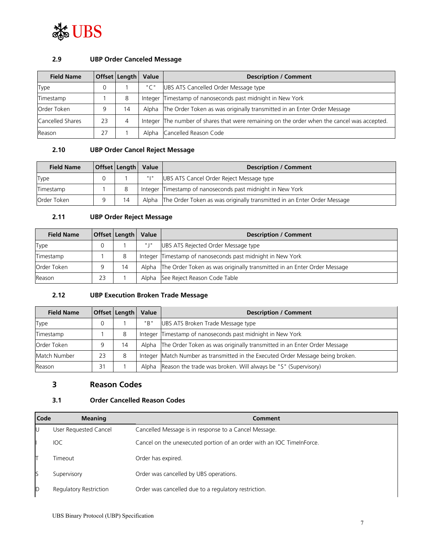

#### **2.9 UBP Order Canceled Message**

| <b>Field Name</b> |    | Offset   Length | Value | <b>Description / Comment</b>                                                                |  |
|-------------------|----|-----------------|-------|---------------------------------------------------------------------------------------------|--|
| Type              |    |                 | "C"   | UBS ATS Cancelled Order Message type                                                        |  |
| Timestamp         |    | 8               |       | Integer Timestamp of nanoseconds past midnight in New York                                  |  |
| Order Token       |    | 14              |       | Alpha The Order Token as was originally transmitted in an Enter Order Message               |  |
| Cancelled Shares  | 23 | 4               |       | Integer The number of shares that were remaining on the order when the cancel was accepted. |  |
| Reason            | 27 |                 | Alpha | Cancelled Reason Code                                                                       |  |

#### **2.10 UBP Order Cancel Reject Message**

| <b>Field Name</b> |   | <b>Offset Length Value</b> |      | <b>Description / Comment</b>                                                  |  |
|-------------------|---|----------------------------|------|-------------------------------------------------------------------------------|--|
| <b>Type</b>       | 0 |                            | արտա | UBS ATS Cancel Order Reject Message type                                      |  |
| Timestamp         |   | 8                          |      | Integer Timestamp of nanoseconds past midnight in New York                    |  |
| Order Token       |   | 14                         |      | Alpha The Order Token as was originally transmitted in an Enter Order Message |  |

#### **2.11 UBP Order Reject Message**

| <b>Field Name</b> |    | Offset   Length | Value | <b>Description / Comment</b>                                                  |  |
|-------------------|----|-----------------|-------|-------------------------------------------------------------------------------|--|
| Type              |    |                 | "   " | UBS ATS Rejected Order Message type                                           |  |
| Timestamp         |    | 8               |       | Integer Timestamp of nanoseconds past midnight in New York                    |  |
| Order Token       | a  | 14              |       | Alpha The Order Token as was originally transmitted in an Enter Order Message |  |
| Reason            | 23 |                 |       | Alpha See Reject Reason Code Table                                            |  |

#### **2.12 UBP Execution Broken Trade Message**

| <b>Field Name</b> |    | Offset   Length   Value |     | <b>Description / Comment</b>                                                    |  |
|-------------------|----|-------------------------|-----|---------------------------------------------------------------------------------|--|
| Type              |    |                         | "B" | UBS ATS Broken Trade Message type                                               |  |
| Timestamp         |    | 8                       |     | Integer Timestamp of nanoseconds past midnight in New York                      |  |
| Order Token       |    | 14                      |     | Alpha The Order Token as was originally transmitted in an Enter Order Message   |  |
| Match Number      | 23 | 8                       |     | Integer Match Number as transmitted in the Executed Order Message being broken. |  |
| Reason            | 31 |                         |     | Alpha Reason the trade was broken. Will always be "S" (Supervisory)             |  |

#### **3 Reason Codes**

#### **3.1 Order Cancelled Reason Codes**

| Code | <b>Meaning</b>         | Comment                                                               |
|------|------------------------|-----------------------------------------------------------------------|
| IJ   | User Requested Cancel  | Cancelled Message is in response to a Cancel Message.                 |
|      | <b>IOC</b>             | Cancel on the unexecuted portion of an order with an IOC TimeInForce. |
|      | Timeout                | Order has expired.                                                    |
| ß    | Supervisory            | Order was cancelled by UBS operations.                                |
| D    | Regulatory Restriction | Order was cancelled due to a regulatory restriction.                  |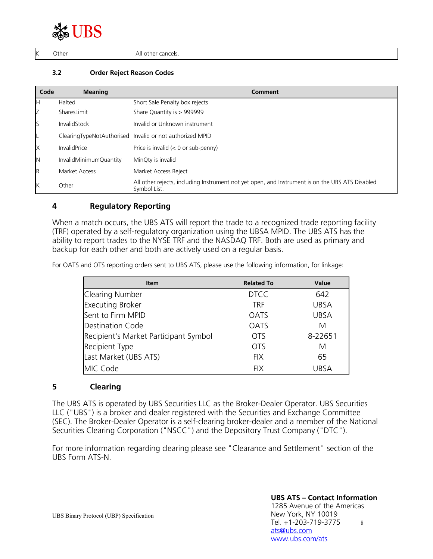# JBS

Other **All other cancels**.

#### **3.2 Order Reject Reason Codes**

| Code | <b>Meaning</b>         | Comment                                                                                                         |
|------|------------------------|-----------------------------------------------------------------------------------------------------------------|
| н    | Halted                 | Short Sale Penalty box rejects                                                                                  |
| Z    | SharesLimit            | Share Quantity is > 999999                                                                                      |
| S    | InvalidStock           | Invalid or Unknown instrument                                                                                   |
|      |                        | ClearingTypeNotAuthorised Invalid or not authorized MPID                                                        |
| X    | <b>InvalidPrice</b>    | Price is invalid $(< 0$ or sub-penny)                                                                           |
| N    | InvalidMinimumQuantity | MinQty is invalid                                                                                               |
| R    | Market Access          | Market Access Reject                                                                                            |
| Κ    | Other                  | All other rejects, including Instrument not yet open, and Instrument is on the UBS ATS Disabled<br>Symbol List. |

#### **4 Regulatory Reporting**

When a match occurs, the UBS ATS will report the trade to a recognized trade reporting facility (TRF) operated by a self-regulatory organization using the UBSA MPID. The UBS ATS has the ability to report trades to the NYSE TRF and the NASDAQ TRF. Both are used as primary and backup for each other and both are actively used on a regular basis.

For OATS and OTS reporting orders sent to UBS ATS, please use the following information, for linkage:

| <b>Item</b>                           | <b>Related To</b> | Value       |
|---------------------------------------|-------------------|-------------|
| Clearing Number                       | <b>DTCC</b>       | 642         |
| <b>Executing Broker</b>               | <b>TRF</b>        | <b>UBSA</b> |
| Sent to Firm MPID                     | <b>OATS</b>       | <b>UBSA</b> |
| <b>Destination Code</b>               | <b>OATS</b>       | M           |
| Recipient's Market Participant Symbol | <b>OTS</b>        | 8-22651     |
| Recipient Type                        | <b>OTS</b>        | М           |
| Last Market (UBS ATS)                 | <b>FIX</b>        | 65          |
| MIC Code                              | <b>FIX</b>        | UBSA        |

#### **5 Clearing**

The UBS ATS is operated by UBS Securities LLC as the Broker-Dealer Operator. UBS Securities LLC ("UBS") is a broker and dealer registered with the Securities and Exchange Committee (SEC). The Broker-Dealer Operator is a self-clearing broker-dealer and a member of the National Securities Clearing Corporation ("NSCC") and the Depository Trust Company ("DTC").

For more information regarding clearing please see "Clearance and Settlement" section of the UBS Form ATS-N.

#### **UBS ATS – Contact Information**

UBS Binary Protocol (UBP) Specification